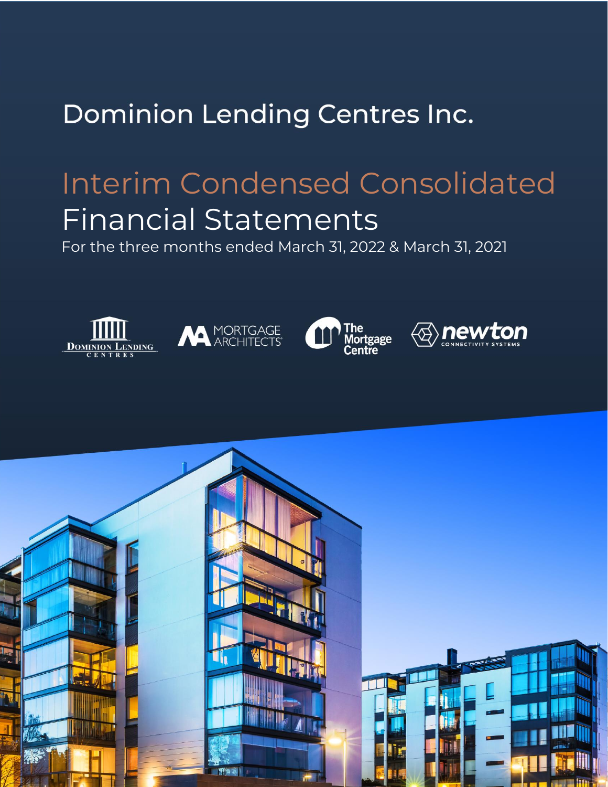# Dominion Lending Centres Inc.

# Interim Condensed Consolidated Financial Statements

For the three months ended March 31, 2022 & March 31, 2021









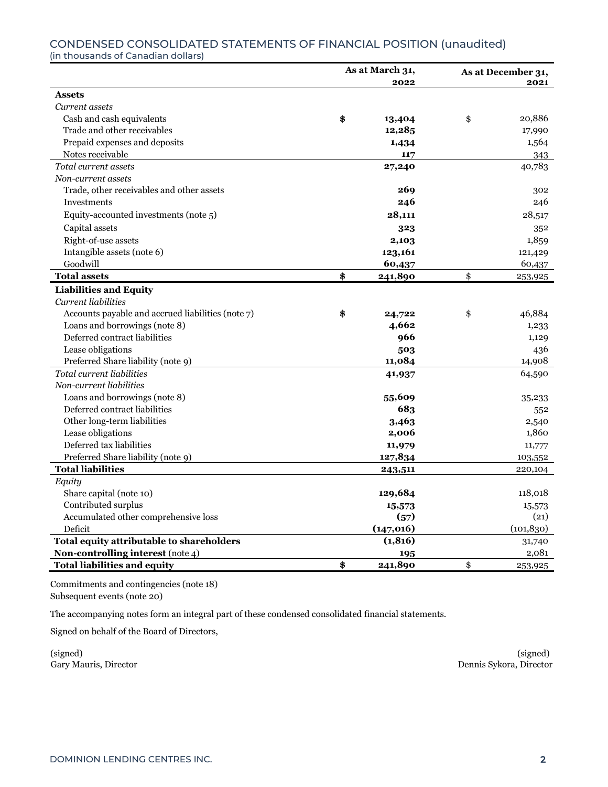## CONDENSED CONSOLIDATED STATEMENTS OF FINANCIAL POSITION (unaudited)

(in thousands of Canadian dollars)

|                                                   | As at March 31, |            | As at December 31, |            |  |
|---------------------------------------------------|-----------------|------------|--------------------|------------|--|
|                                                   |                 | 2022       | 2021               |            |  |
| <b>Assets</b>                                     |                 |            |                    |            |  |
| Current assets                                    |                 |            |                    |            |  |
| Cash and cash equivalents                         | \$              | 13,404     | \$                 | 20,886     |  |
| Trade and other receivables                       |                 | 12,285     |                    | 17,990     |  |
| Prepaid expenses and deposits                     |                 | 1,434      |                    | 1,564      |  |
| Notes receivable                                  |                 | 117        |                    | 343        |  |
| Total current assets                              |                 | 27,240     |                    | 40,783     |  |
| Non-current assets                                |                 |            |                    |            |  |
| Trade, other receivables and other assets         |                 | 269        |                    | 302        |  |
| Investments                                       |                 | 246        |                    | 246        |  |
| Equity-accounted investments (note 5)             |                 | 28,111     |                    | 28,517     |  |
| Capital assets                                    |                 | 323        |                    | 352        |  |
| Right-of-use assets                               |                 | 2,103      |                    | 1,859      |  |
| Intangible assets (note 6)                        |                 | 123,161    |                    | 121,429    |  |
| Goodwill                                          |                 | 60,437     |                    | 60,437     |  |
| <b>Total assets</b>                               | \$              | 241,890    | \$                 | 253,925    |  |
| <b>Liabilities and Equity</b>                     |                 |            |                    |            |  |
| Current liabilities                               |                 |            |                    |            |  |
| Accounts payable and accrued liabilities (note 7) | \$              | 24,722     | \$                 | 46,884     |  |
| Loans and borrowings (note 8)                     |                 | 4,662      |                    | 1,233      |  |
| Deferred contract liabilities                     |                 | 966        |                    | 1,129      |  |
| Lease obligations                                 |                 | 503        |                    | 436        |  |
| Preferred Share liability (note 9)                |                 | 11,084     |                    | 14,908     |  |
| Total current liabilities                         |                 | 41,937     |                    | 64,590     |  |
| Non-current liabilities                           |                 |            |                    |            |  |
| Loans and borrowings (note 8)                     |                 | 55,609     |                    | 35,233     |  |
| Deferred contract liabilities                     |                 | 683        |                    | 552        |  |
| Other long-term liabilities                       |                 | 3,463      |                    | 2,540      |  |
| Lease obligations                                 |                 | 2,006      |                    | 1,860      |  |
| Deferred tax liabilities                          |                 | 11,979     |                    | 11,777     |  |
| Preferred Share liability (note 9)                |                 | 127,834    |                    | 103,552    |  |
| <b>Total liabilities</b>                          |                 | 243,511    |                    | 220,104    |  |
| Equity                                            |                 |            |                    |            |  |
| Share capital (note 10)                           |                 | 129,684    |                    | 118,018    |  |
| Contributed surplus                               |                 | 15,573     |                    | 15,573     |  |
| Accumulated other comprehensive loss              |                 | (57)       |                    | (21)       |  |
| Deficit                                           |                 | (147, 016) |                    | (101, 830) |  |
| Total equity attributable to shareholders         |                 | (1, 816)   |                    | 31,740     |  |
| Non-controlling interest (note 4)                 |                 | 195        |                    | 2,081      |  |
| <b>Total liabilities and equity</b>               | \$              | 241,890    | \$                 | 253,925    |  |

Commitments and contingencies (note 18) Subsequent events (note 20)

The accompanying notes form an integral part of these condensed consolidated financial statements.

Signed on behalf of the Board of Directors,

(signed) (signed) Gary Mauris, Director Dennis Sykora, Director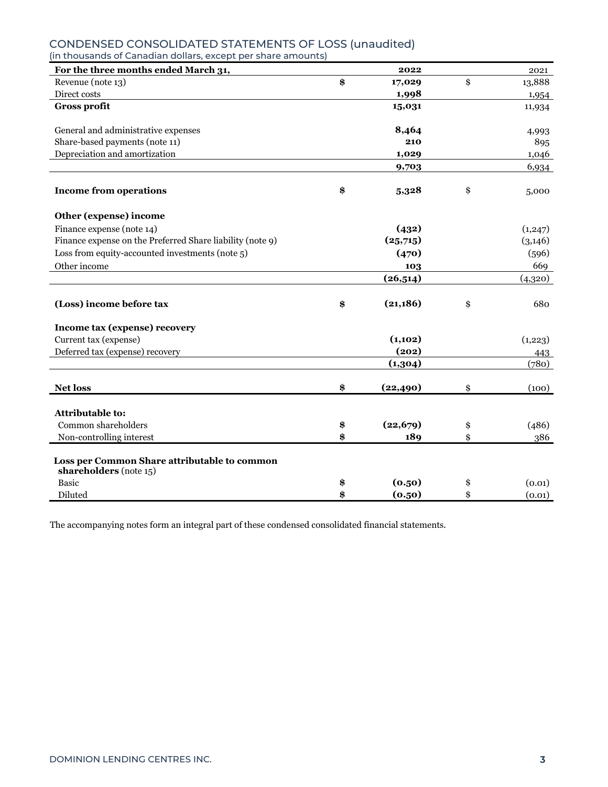| For the three months ended March 31,                      | 2022            | 2021         |
|-----------------------------------------------------------|-----------------|--------------|
| Revenue (note 13)                                         | \$<br>17,029    | \$<br>13,888 |
| Direct costs                                              | 1,998           | 1,954        |
| <b>Gross profit</b>                                       | 15,031          | 11,934       |
| General and administrative expenses                       | 8,464           | 4,993        |
| Share-based payments (note 11)                            | 210             | 895          |
| Depreciation and amortization                             | 1,029           | 1,046        |
|                                                           | 9,703           | 6,934        |
| <b>Income from operations</b>                             | \$<br>5,328     | \$<br>5,000  |
| Other (expense) income                                    |                 |              |
| Finance expense (note 14)                                 | (432)           | (1,247)      |
| Finance expense on the Preferred Share liability (note 9) | (25,715)        | (3, 146)     |
| Loss from equity-accounted investments (note $5$ )        | (470)           | (596)        |
| Other income                                              | 103             | 669          |
|                                                           | (26, 514)       | (4,320)      |
| (Loss) income before tax                                  | \$<br>(21, 186) | \$<br>680    |
| Income tax (expense) recovery                             |                 |              |
| Current tax (expense)                                     | (1, 102)        | (1,223)      |
| Deferred tax (expense) recovery                           | (202)           | 443          |
|                                                           | (1,304)         | (780)        |
| <b>Net loss</b>                                           | \$<br>(22, 490) | \$<br>(100)  |
| Attributable to:                                          |                 |              |
| Common shareholders                                       | \$<br>(22, 679) | \$<br>(486)  |
| Non-controlling interest                                  | \$<br>189       | \$<br>386    |
| Loss per Common Share attributable to common              |                 |              |
| shareholders (note 15)                                    |                 |              |
| <b>Basic</b>                                              | \$<br>(0.50)    | \$<br>(0.01) |
| Diluted                                                   | \$<br>(0.50)    | \$<br>(0.01) |

#### CONDENSED CONSOLIDATED STATEMENTS OF LOSS (unaudited) (in thousands of Canadian dollars, except per share amounts)

The accompanying notes form an integral part of these condensed consolidated financial statements.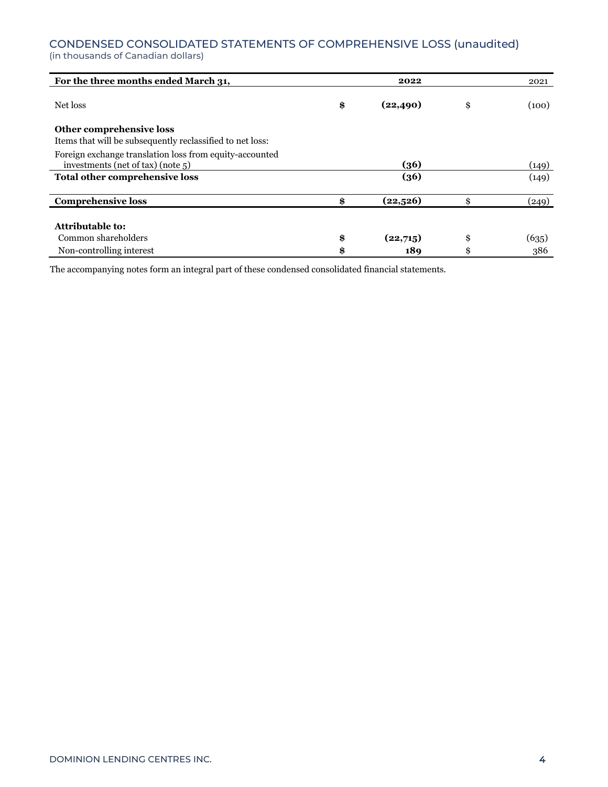### CONDENSED CONSOLIDATED STATEMENTS OF COMPREHENSIVE LOSS (unaudited)

(in thousands of Canadian dollars)

| For the three months ended March 31,                      | 2022            | 2021        |
|-----------------------------------------------------------|-----------------|-------------|
| Net loss                                                  | \$<br>(22, 490) | \$<br>(100) |
|                                                           |                 |             |
| Other comprehensive loss                                  |                 |             |
| Items that will be subsequently reclassified to net loss: |                 |             |
| Foreign exchange translation loss from equity-accounted   |                 |             |
| investments (net of tax) (note $5$ )                      | (36)            | (149)       |
| Total other comprehensive loss                            | (36)            | (149)       |
| <b>Comprehensive loss</b>                                 | \$<br>(22, 526) | \$<br>(249) |
|                                                           |                 |             |
| Attributable to:                                          |                 |             |
| Common shareholders                                       | \$<br>(22,715)  | \$<br>(635) |
| Non-controlling interest                                  | \$<br>189       | \$<br>386   |

The accompanying notes form an integral part of these condensed consolidated financial statements.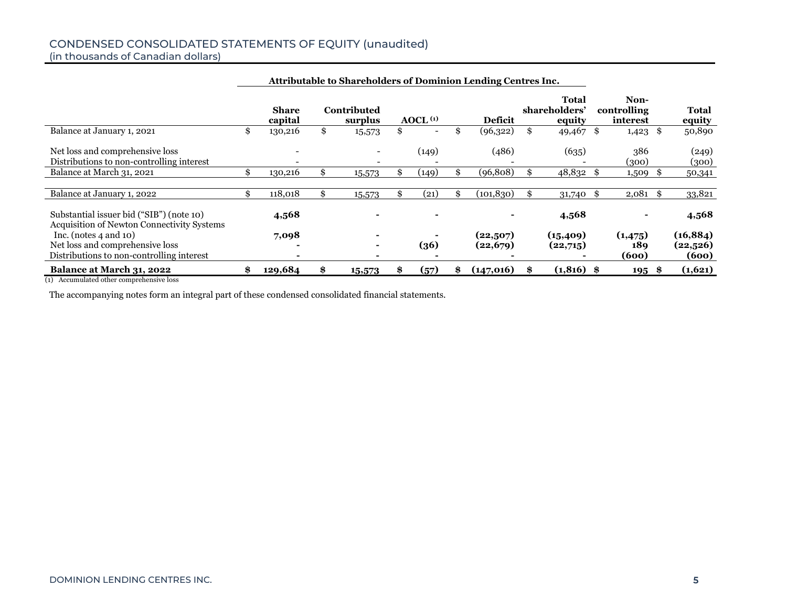# CONDENSED CONSOLIDATED STATEMENTS OF EQUITY (unaudited)

(in thousands of Canadian dollars)

| Attributable to Shareholders of Dominion Lending Centres Inc.                                              |    |                         |    |                        |    |                          |     |                      |                                         |    |                                 |      |                                |
|------------------------------------------------------------------------------------------------------------|----|-------------------------|----|------------------------|----|--------------------------|-----|----------------------|-----------------------------------------|----|---------------------------------|------|--------------------------------|
|                                                                                                            |    | <b>Share</b><br>capital |    | Contributed<br>surplus |    | A OCL <sup>(1)</sup>     |     | <b>Deficit</b>       | <b>Total</b><br>shareholders'<br>equity |    | Non-<br>controlling<br>interest |      | Total<br>equity                |
| Balance at January 1, 2021                                                                                 | \$ | 130,216                 | \$ | 15,573                 | \$ | $\overline{\phantom{a}}$ | \$  | (96,322)             | \$<br>49,467 $\overline{\$}$            |    | $1,423$ \$                      |      | 50,890                         |
| Net loss and comprehensive loss<br>Distributions to non-controlling interest                               |    |                         |    |                        |    | (149)                    |     | (486)                | (635)                                   |    | 386<br>(300)                    |      | (249)<br>(300)                 |
| Balance at March 31, 2021                                                                                  | \$ | 130,216                 |    | 15,573                 |    | (149)                    |     | (96, 808)            | 48,832                                  | -8 | 1,509                           |      | 50,341                         |
| Balance at January 1, 2022                                                                                 | \$ | 118,018                 |    | 15,573                 |    | (21)                     | \$. | (101, 830)           | 31,740                                  | \$ | $2,081$ \$                      |      | 33,821                         |
| Substantial issuer bid ("SIB") (note 10)<br><b>Acquisition of Newton Connectivity Systems</b>              |    | 4,568                   |    |                        |    |                          |     |                      | 4,568                                   |    |                                 |      | 4,568                          |
| Inc. (notes $4$ and $10$ )<br>Net loss and comprehensive loss<br>Distributions to non-controlling interest |    | 7,098                   |    |                        |    | (36)                     |     | (22,507)<br>(22,679) | (15, 409)<br>(22,715)                   |    | (1, 475)<br>189<br>(600)        |      | (16, 884)<br>(22,526)<br>(600) |
| Balance at March 31, 2022                                                                                  | \$ | 129,684                 |    | 15,573                 | æ  | (57)                     |     | (147,016)            | $(1,816)$ \$                            |    | 195                             | - 86 | (1,621)                        |

(1) Accumulated other comprehensive loss

The accompanying notes form an integral part of these condensed consolidated financial statements.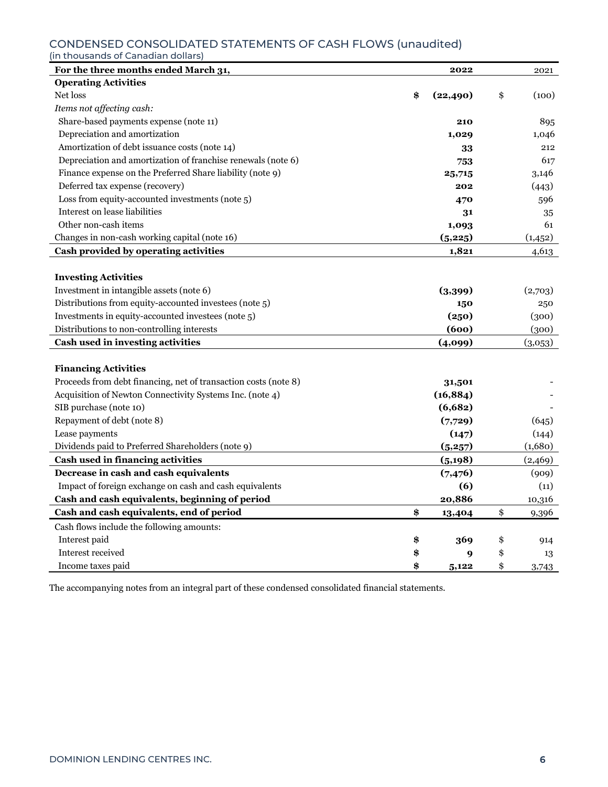# CONDENSED CONSOLIDATED STATEMENTS OF CASH FLOWS (unaudited)<br>(in thousands of Canadian dollars)

| For the three months ended March 31,                            | 2022            | 2021        |
|-----------------------------------------------------------------|-----------------|-------------|
| <b>Operating Activities</b>                                     |                 |             |
| Net loss                                                        | \$<br>(22, 490) | \$<br>(100) |
| Items not affecting cash:                                       |                 |             |
| Share-based payments expense (note 11)                          | 210             | 895         |
| Depreciation and amortization                                   | 1,029           | 1,046       |
| Amortization of debt issuance costs (note 14)                   | 33              | 212         |
| Depreciation and amortization of franchise renewals (note 6)    | 753             | 617         |
| Finance expense on the Preferred Share liability (note 9)       | 25,715          | 3,146       |
| Deferred tax expense (recovery)                                 | 202             | (443)       |
| Loss from equity-accounted investments (note 5)                 | 470             | 596         |
| Interest on lease liabilities                                   | 31              | 35          |
| Other non-cash items                                            | 1,093           | 61          |
| Changes in non-cash working capital (note 16)                   | (5,225)         | (1, 452)    |
| Cash provided by operating activities                           | 1,821           | 4,613       |
|                                                                 |                 |             |
| <b>Investing Activities</b>                                     |                 |             |
| Investment in intangible assets (note 6)                        | (3,399)         | (2,703)     |
| Distributions from equity-accounted investees (note 5)          | 150             | 250         |
| Investments in equity-accounted investees (note 5)              | (250)           | (300)       |
| Distributions to non-controlling interests                      | (600)           | (300)       |
| Cash used in investing activities                               | (4,099)         | (3,053)     |
|                                                                 |                 |             |
| <b>Financing Activities</b>                                     |                 |             |
| Proceeds from debt financing, net of transaction costs (note 8) | 31,501          |             |
| Acquisition of Newton Connectivity Systems Inc. (note 4)        | (16, 884)       |             |
| SIB purchase (note 10)                                          | (6,682)         |             |
| Repayment of debt (note 8)                                      | (7,729)         | (645)       |
| Lease payments                                                  | (147)           | (144)       |
| Dividends paid to Preferred Shareholders (note 9)               | (5,257)         | (1,680)     |
| Cash used in financing activities                               | (5, 198)        | (2,469)     |
| Decrease in cash and cash equivalents                           | (7,476)         | (909)       |
| Impact of foreign exchange on cash and cash equivalents         | (6)             | (11)        |
| Cash and cash equivalents, beginning of period                  | 20,886          | 10,316      |
| Cash and cash equivalents, end of period                        | \$<br>13,404    | \$<br>9,396 |
| Cash flows include the following amounts:                       |                 |             |
| Interest paid                                                   | \$<br>369       | \$<br>914   |
| Interest received                                               | \$<br>9         | \$<br>13    |
| Income taxes paid                                               | \$<br>5,122     | \$<br>3,743 |

The accompanying notes from an integral part of these condensed consolidated financial statements.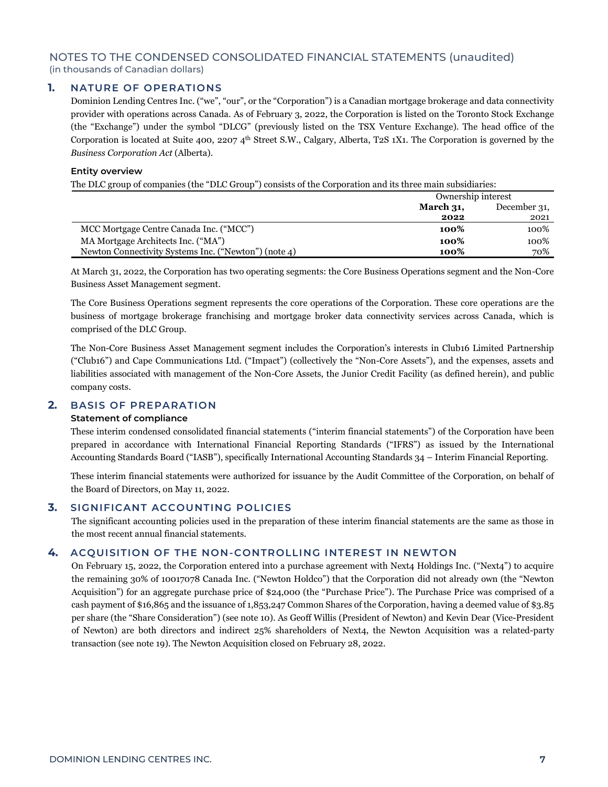#### **1. NATURE OF OPERATIONS**

Dominion Lending Centres Inc. ("we", "our", or the "Corporation") is a Canadian mortgage brokerage and data connectivity provider with operations across Canada. As of February 3, 2022, the Corporation is listed on the Toronto Stock Exchange (the "Exchange") under the symbol "DLCG" (previously listed on the TSX Venture Exchange). The head office of the Corporation is located at Suite 400, 2207  $4<sup>th</sup>$  Street S.W., Calgary, Alberta, T2S 1X1. The Corporation is governed by the *Business Corporation Act* (Alberta).

#### **Entity overview**

The DLC group of companies (the "DLC Group") consists of the Corporation and its three main subsidiaries:

|                                                      | Ownership interest |              |
|------------------------------------------------------|--------------------|--------------|
|                                                      | March $31$ ,       | December 31, |
|                                                      | 2022               | 2021         |
| MCC Mortgage Centre Canada Inc. ("MCC")              | 100%               | 100%         |
| MA Mortgage Architects Inc. ("MA")                   | 100%               | 100%         |
| Newton Connectivity Systems Inc. ("Newton") (note 4) | 100%               | 70%          |

At March 31, 2022, the Corporation has two operating segments: the Core Business Operations segment and the Non-Core Business Asset Management segment.

The Core Business Operations segment represents the core operations of the Corporation. These core operations are the business of mortgage brokerage franchising and mortgage broker data connectivity services across Canada, which is comprised of the DLC Group.

The Non-Core Business Asset Management segment includes the Corporation's interests in Club16 Limited Partnership ("Club16") and Cape Communications Ltd. ("Impact") (collectively the "Non-Core Assets"), and the expenses, assets and liabilities associated with management of the Non-Core Assets, the Junior Credit Facility (as defined herein), and public company costs.

#### **2. BASIS OF PREPARATION**

#### **Statement of compliance**

These interim condensed consolidated financial statements ("interim financial statements") of the Corporation have been prepared in accordance with International Financial Reporting Standards ("IFRS") as issued by the International Accounting Standards Board ("IASB"), specifically International Accounting Standards 34 – Interim Financial Reporting.

These interim financial statements were authorized for issuance by the Audit Committee of the Corporation, on behalf of the Board of Directors, on May 11, 2022.

#### **3. SIGNIFICANT ACCOUNTING POLICIES**

The significant accounting policies used in the preparation of these interim financial statements are the same as those in the most recent annual financial statements.

#### **4. ACQUISITION OF THE NON-CONTROLLING INTEREST IN NEWTON**

On February 15, 2022, the Corporation entered into a purchase agreement with Next4 Holdings Inc. ("Next4") to acquire the remaining 30% of 10017078 Canada Inc. ("Newton Holdco") that the Corporation did not already own (the "Newton Acquisition") for an aggregate purchase price of \$24,000 (the "Purchase Price"). The Purchase Price was comprised of a cash payment of \$16,865 and the issuance of 1,853,247 Common Shares of the Corporation, having a deemed value of \$3.85 per share (the "Share Consideration") (see note 10). As Geoff Willis (President of Newton) and Kevin Dear (Vice-President of Newton) are both directors and indirect 25% shareholders of Next4, the Newton Acquisition was a related-party transaction (see note 19). The Newton Acquisition closed on February 28, 2022.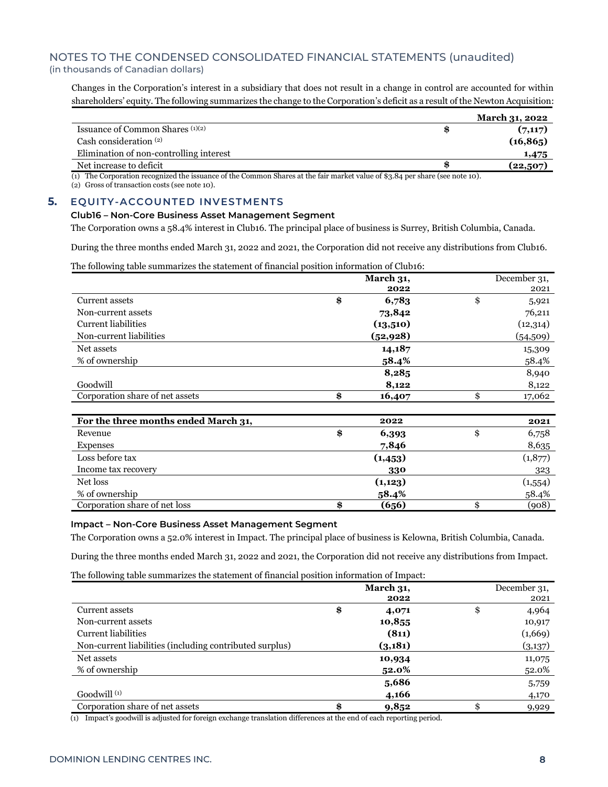Changes in the Corporation's interest in a subsidiary that does not result in a change in control are accounted for within shareholders' equity. The following summarizes the change to the Corporation's deficit as a result of the Newton Acquisition:

|                                                                                                                        | <b>March 31, 2022</b> |
|------------------------------------------------------------------------------------------------------------------------|-----------------------|
| Issuance of Common Shares $(1)(2)$                                                                                     | (7,117)               |
| Cash consideration $(2)$                                                                                               | (16, 865)             |
| Elimination of non-controlling interest                                                                                | 1,475                 |
| Net increase to deficit                                                                                                | (22,507)              |
| $\sim$ m $\sim$<br>$\sim$ $\sim$<br>$\cdots$<br>$\sim$<br>$\mathbf{r}$ $\mathbf{r}$<br>$\cdot$ $\cdot$ $\cdot$ $\cdot$ | . .                   |

(1) The Corporation recognized the issuance of the Common Shares at the fair market value of \$3.84 per share (see note 10).

(2) Gross of transaction costs (see note 10).

#### **5. EQUITY-ACCOUNTED INVESTMENTS**

#### **Club16** *–* **Non-Core Business Asset Management Segment**

The Corporation owns a 58.4% interest in Club16. The principal place of business is Surrey, British Columbia, Canada.

During the three months ended March 31, 2022 and 2021, the Corporation did not receive any distributions from Club16.

The following table summarizes the statement of financial position information of Club16:

|                                      | March 31, |           | December 31, |
|--------------------------------------|-----------|-----------|--------------|
|                                      |           | 2022      | 2021         |
| Current assets                       | \$        | 6,783     | \$<br>5,921  |
| Non-current assets                   |           | 73,842    | 76,211       |
| <b>Current liabilities</b>           |           | (13,510)  | (12,314)     |
| Non-current liabilities              |           | (52, 928) | (54,509)     |
| Net assets                           |           | 14,187    | 15,309       |
| % of ownership                       |           | 58.4%     | 58.4%        |
|                                      |           | 8,285     | 8,940        |
| Goodwill                             |           | 8,122     | 8,122        |
| Corporation share of net assets      | \$        | 16,407    | \$<br>17,062 |
|                                      |           |           |              |
| For the three months ended March 31, |           | 2022      | 2021         |
| Revenue                              | \$        | 6,393     | \$<br>6,758  |
| <b>Expenses</b>                      |           | 7,846     | 8,635        |
| Loss before tax                      |           | (1,453)   | (1,877)      |
| Income tax recovery                  |           | 330       | 323          |
| Net loss                             |           | (1, 123)  | (1,554)      |
| % of ownership                       |           | 58.4%     | 58.4%        |
| Corporation share of net loss        | \$        | (656)     | \$<br>(908)  |

#### **Impact** *–* **Non-Core Business Asset Management Segment**

The Corporation owns a 52.0% interest in Impact. The principal place of business is Kelowna, British Columbia, Canada.

During the three months ended March 31, 2022 and 2021, the Corporation did not receive any distributions from Impact.

The following table summarizes the statement of financial position information of Impact:

|                                                         | March 31,   | December 31, |
|---------------------------------------------------------|-------------|--------------|
|                                                         | 2022        | 2021         |
| Current assets                                          | \$<br>4,071 | \$<br>4,964  |
| Non-current assets                                      | 10,855      | 10,917       |
| <b>Current liabilities</b>                              | (811)       | (1,669)      |
| Non-current liabilities (including contributed surplus) | (3,181)     | (3,137)      |
| Net assets                                              | 10,934      | 11,075       |
| % of ownership                                          | 52.0%       | 52.0%        |
|                                                         | 5,686       | 5,759        |
| Goodwill $(1)$                                          | 4,166       | 4,170        |
| Corporation share of net assets                         | 9,852       | 9,929        |

(1) Impact's goodwill is adjusted for foreign exchange translation differences at the end of each reporting period.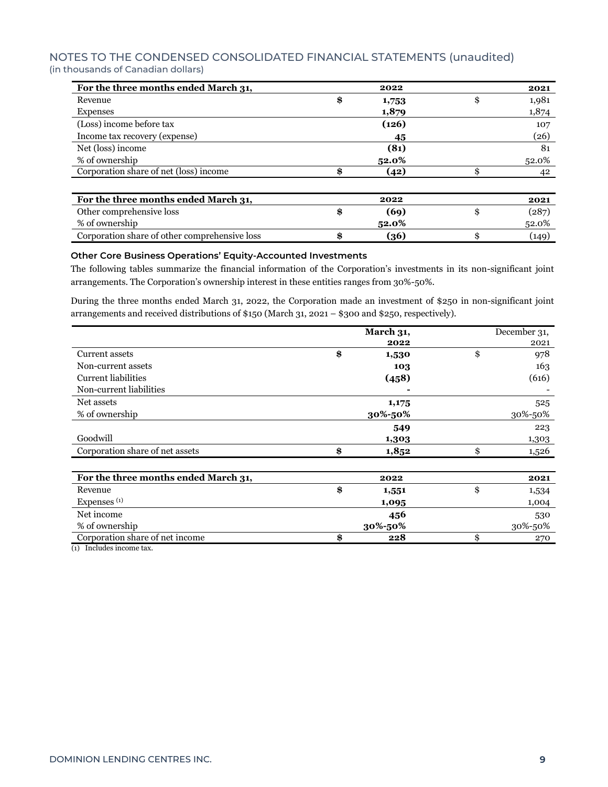| For the three months ended March 31,          | 2022        | 2021        |
|-----------------------------------------------|-------------|-------------|
| Revenue                                       | \$<br>1,753 | \$<br>1,981 |
| <b>Expenses</b>                               | 1,879       | 1,874       |
| (Loss) income before tax                      | (126)       | 107         |
| Income tax recovery (expense)                 | 45          | (26)        |
| Net (loss) income                             | (81)        | 81          |
| % of ownership                                | 52.0%       | 52.0%       |
| Corporation share of net (loss) income        | (42)        | 42          |
|                                               |             |             |
| For the three months ended March 31,          | 2022        | 2021        |
| Other comprehensive loss                      | \$<br>(69)  | \$<br>(287) |
| % of ownership                                | 52.0%       | 52.0%       |
| Corporation share of other comprehensive loss | \$<br>(36)  | (149)       |

#### **Other Core Business Operations' Equity-Accounted Investments**

The following tables summarize the financial information of the Corporation's investments in its non-significant joint arrangements. The Corporation's ownership interest in these entities ranges from 30%-50%.

During the three months ended March 31, 2022, the Corporation made an investment of \$250 in non-significant joint arrangements and received distributions of \$150 (March 31, 2021 – \$300 and \$250, respectively).

|                                      | March 31,   | December 31, |
|--------------------------------------|-------------|--------------|
|                                      | 2022        | 2021         |
| Current assets                       | \$<br>1,530 | \$<br>978    |
| Non-current assets                   | 103         | 163          |
| <b>Current liabilities</b>           | (458)       | (616)        |
| Non-current liabilities              |             |              |
| Net assets                           | 1,175       | 525          |
| % of ownership                       | 30%-50%     | 30%-50%      |
|                                      | 549         | 223          |
| Goodwill                             | 1,303       | 1,303        |
| Corporation share of net assets      | \$<br>1,852 | \$<br>1,526  |
|                                      |             |              |
| For the three months ended March 31, | 2022        | 2021         |
| Revenue                              | \$<br>1,551 | \$<br>1,534  |
| Expenses <sup>(1)</sup>              | 1,095       | 1,004        |

Net income **456** 530 % of ownership **30%-50%** 30%-50%

Corporation share of net income **\$ 228** \$ 270 (1) Includes income tax.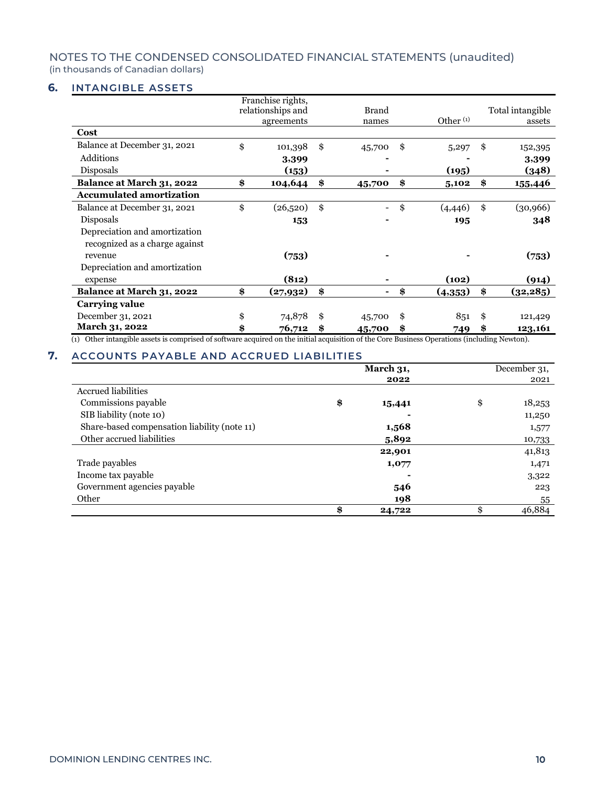#### **6. INTANGIBLE ASSETS**

|                                 | Franchise rights,<br>relationships and<br>agreements | <b>Brand</b><br>names | Other $(1)$    | Total intangible<br>assets |
|---------------------------------|------------------------------------------------------|-----------------------|----------------|----------------------------|
| Cost                            |                                                      |                       |                |                            |
| Balance at December 31, 2021    | \$<br>101,398                                        | \$<br>45,700          | \$<br>5,297    | \$<br>152,395              |
| Additions                       | 3,399                                                |                       |                | 3,399                      |
| Disposals                       | (153)                                                |                       | (195)          | (348)                      |
| Balance at March 31, 2022       | \$<br>104,644                                        | \$<br>45,700          | \$<br>5,102    | \$<br>155,446              |
| <b>Accumulated amortization</b> |                                                      |                       |                |                            |
| Balance at December 31, 2021    | \$<br>(26,520)                                       | \$                    | \$<br>(4, 446) | \$<br>(30, 966)            |
| Disposals                       | 153                                                  |                       | 195            | 348                        |
| Depreciation and amortization   |                                                      |                       |                |                            |
| recognized as a charge against  |                                                      |                       |                |                            |
| revenue                         | (753)                                                |                       |                | (753)                      |
| Depreciation and amortization   |                                                      |                       |                |                            |
| expense                         | (812)                                                |                       | (102)          | (914)                      |
| Balance at March 31, 2022       | \$<br>(27,932)                                       | \$                    | \$<br>(4,353)  | \$<br>(32, 285)            |
| Carrying value                  |                                                      |                       |                |                            |
| December 31, 2021               | \$<br>74,878                                         | \$<br>45,700          | \$<br>851      | \$<br>121,429              |
| March 31, 2022                  | \$<br>76,712                                         | \$<br>45,700          | \$<br>749      | \$<br>123,161              |

(1) Other intangible assets is comprised of software acquired on the initial acquisition of the Core Business Operations (including Newton).

### **7. ACCOUNTS PAYABLE AND ACCRUED LIABILITIES**

|                                              | March 31, |        | December 31, |
|----------------------------------------------|-----------|--------|--------------|
|                                              |           | 2022   | 2021         |
| <b>Accrued liabilities</b>                   |           |        |              |
| Commissions payable                          | \$        | 15,441 | \$<br>18,253 |
| SIB liability (note 10)                      |           |        | 11,250       |
| Share-based compensation liability (note 11) |           | 1,568  | 1,577        |
| Other accrued liabilities                    |           | 5,892  | 10,733       |
|                                              |           | 22,901 | 41,813       |
| Trade payables                               |           | 1,077  | 1,471        |
| Income tax payable                           |           |        | 3,322        |
| Government agencies payable                  |           | 546    | 223          |
| Other                                        |           | 198    | 55           |
|                                              | \$        | 24,722 | \$<br>46,884 |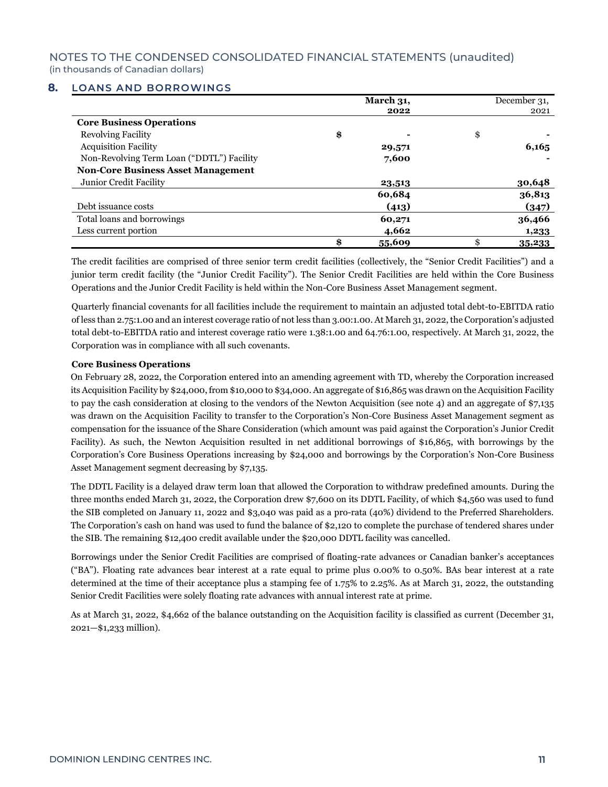#### **8. LOANS AND BORROWINGS**

|                                           | March 31,    | December 31, |
|-------------------------------------------|--------------|--------------|
|                                           | 2022         | 2021         |
| <b>Core Business Operations</b>           |              |              |
| <b>Revolving Facility</b>                 | \$           | \$           |
| <b>Acquisition Facility</b>               | 29,571       | 6,165        |
| Non-Revolving Term Loan ("DDTL") Facility | 7,600        |              |
| <b>Non-Core Business Asset Management</b> |              |              |
| Junior Credit Facility                    | 23,513       | 30,648       |
|                                           | 60,684       | 36,813       |
| Debt issuance costs                       | (413)        | (347)        |
| Total loans and borrowings                | 60,271       | 36,466       |
| Less current portion                      | 4,662        | 1,233        |
|                                           | \$<br>55,609 | \$<br>35,233 |

The credit facilities are comprised of three senior term credit facilities (collectively, the "Senior Credit Facilities") and a junior term credit facility (the "Junior Credit Facility"). The Senior Credit Facilities are held within the Core Business Operations and the Junior Credit Facility is held within the Non-Core Business Asset Management segment.

Quarterly financial covenants for all facilities include the requirement to maintain an adjusted total debt-to-EBITDA ratio of less than 2.75:1.00 and an interest coverage ratio of not less than 3.00:1.00. At March 31, 2022, the Corporation's adjusted total debt-to-EBITDA ratio and interest coverage ratio were 1.38:1.00 and 64.76:1.00, respectively. At March 31, 2022, the Corporation was in compliance with all such covenants.

#### **Core Business Operations**

On February 28, 2022, the Corporation entered into an amending agreement with TD, whereby the Corporation increased its Acquisition Facility by \$24,000, from \$10,000 to \$34,000. An aggregate of \$16,865 was drawn on the Acquisition Facility to pay the cash consideration at closing to the vendors of the Newton Acquisition (see note 4) and an aggregate of \$7,135 was drawn on the Acquisition Facility to transfer to the Corporation's Non-Core Business Asset Management segment as compensation for the issuance of the Share Consideration (which amount was paid against the Corporation's Junior Credit Facility). As such, the Newton Acquisition resulted in net additional borrowings of \$16,865, with borrowings by the Corporation's Core Business Operations increasing by \$24,000 and borrowings by the Corporation's Non-Core Business Asset Management segment decreasing by \$7,135.

The DDTL Facility is a delayed draw term loan that allowed the Corporation to withdraw predefined amounts. During the three months ended March 31, 2022, the Corporation drew \$7,600 on its DDTL Facility, of which \$4,560 was used to fund the SIB completed on January 11, 2022 and \$3,040 was paid as a pro-rata (40%) dividend to the Preferred Shareholders. The Corporation's cash on hand was used to fund the balance of \$2,120 to complete the purchase of tendered shares under the SIB. The remaining \$12,400 credit available under the \$20,000 DDTL facility was cancelled.

Borrowings under the Senior Credit Facilities are comprised of floating-rate advances or Canadian banker's acceptances ("BA"). Floating rate advances bear interest at a rate equal to prime plus 0.00% to 0.50%. BAs bear interest at a rate determined at the time of their acceptance plus a stamping fee of 1.75% to 2.25%. As at March 31, 2022, the outstanding Senior Credit Facilities were solely floating rate advances with annual interest rate at prime.

As at March 31, 2022, \$4,662 of the balance outstanding on the Acquisition facility is classified as current (December 31, 2021—\$1,233 million).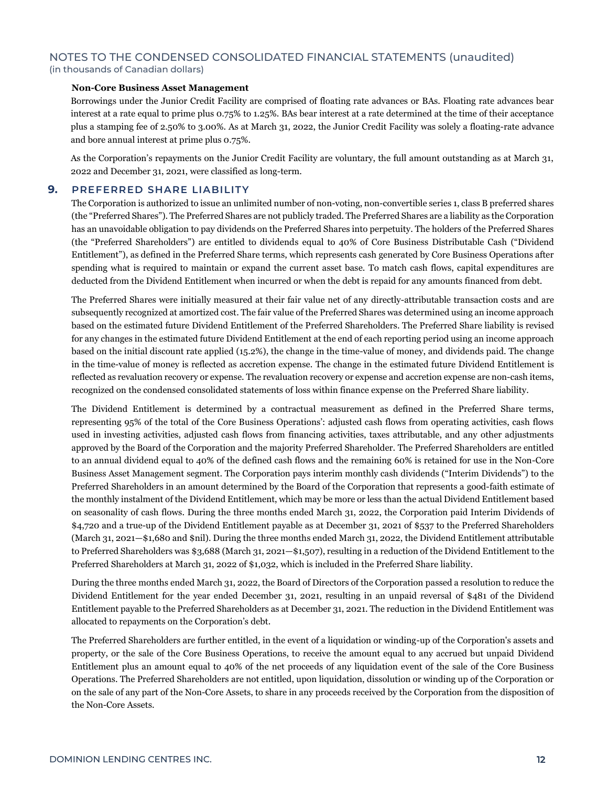#### **Non-Core Business Asset Management**

Borrowings under the Junior Credit Facility are comprised of floating rate advances or BAs. Floating rate advances bear interest at a rate equal to prime plus 0.75% to 1.25%. BAs bear interest at a rate determined at the time of their acceptance plus a stamping fee of 2.50% to 3.00%. As at March 31, 2022, the Junior Credit Facility was solely a floating-rate advance and bore annual interest at prime plus 0.75%.

As the Corporation's repayments on the Junior Credit Facility are voluntary, the full amount outstanding as at March 31, 2022 and December 31, 2021, were classified as long-term.

#### **9. PREFERRED SHARE LIABILITY**

The Corporation is authorized to issue an unlimited number of non-voting, non-convertible series 1, class B preferred shares (the "Preferred Shares"). The Preferred Shares are not publicly traded. The Preferred Shares are a liability as the Corporation has an unavoidable obligation to pay dividends on the Preferred Shares into perpetuity. The holders of the Preferred Shares (the "Preferred Shareholders") are entitled to dividends equal to 40% of Core Business Distributable Cash ("Dividend Entitlement"), as defined in the Preferred Share terms, which represents cash generated by Core Business Operations after spending what is required to maintain or expand the current asset base. To match cash flows, capital expenditures are deducted from the Dividend Entitlement when incurred or when the debt is repaid for any amounts financed from debt.

The Preferred Shares were initially measured at their fair value net of any directly-attributable transaction costs and are subsequently recognized at amortized cost. The fair value of the Preferred Shares was determined using an income approach based on the estimated future Dividend Entitlement of the Preferred Shareholders. The Preferred Share liability is revised for any changes in the estimated future Dividend Entitlement at the end of each reporting period using an income approach based on the initial discount rate applied (15.2%), the change in the time-value of money, and dividends paid. The change in the time-value of money is reflected as accretion expense. The change in the estimated future Dividend Entitlement is reflected as revaluation recovery or expense. The revaluation recovery or expense and accretion expense are non-cash items, recognized on the condensed consolidated statements of loss within finance expense on the Preferred Share liability.

The Dividend Entitlement is determined by a contractual measurement as defined in the Preferred Share terms, representing 95% of the total of the Core Business Operations': adjusted cash flows from operating activities, cash flows used in investing activities, adjusted cash flows from financing activities, taxes attributable, and any other adjustments approved by the Board of the Corporation and the majority Preferred Shareholder. The Preferred Shareholders are entitled to an annual dividend equal to 40% of the defined cash flows and the remaining 60% is retained for use in the Non-Core Business Asset Management segment. The Corporation pays interim monthly cash dividends ("Interim Dividends") to the Preferred Shareholders in an amount determined by the Board of the Corporation that represents a good-faith estimate of the monthly instalment of the Dividend Entitlement, which may be more or less than the actual Dividend Entitlement based on seasonality of cash flows. During the three months ended March 31, 2022, the Corporation paid Interim Dividends of \$4,720 and a true-up of the Dividend Entitlement payable as at December 31, 2021 of \$537 to the Preferred Shareholders (March 31, 2021—\$1,680 and \$nil). During the three months ended March 31, 2022, the Dividend Entitlement attributable to Preferred Shareholders was \$3,688 (March 31, 2021—\$1,507), resulting in a reduction of the Dividend Entitlement to the Preferred Shareholders at March 31, 2022 of \$1,032, which is included in the Preferred Share liability.

During the three months ended March 31, 2022, the Board of Directors of the Corporation passed a resolution to reduce the Dividend Entitlement for the year ended December 31, 2021, resulting in an unpaid reversal of \$481 of the Dividend Entitlement payable to the Preferred Shareholders as at December 31, 2021. The reduction in the Dividend Entitlement was allocated to repayments on the Corporation's debt.

The Preferred Shareholders are further entitled, in the event of a liquidation or winding-up of the Corporation's assets and property, or the sale of the Core Business Operations, to receive the amount equal to any accrued but unpaid Dividend Entitlement plus an amount equal to 40% of the net proceeds of any liquidation event of the sale of the Core Business Operations. The Preferred Shareholders are not entitled, upon liquidation, dissolution or winding up of the Corporation or on the sale of any part of the Non-Core Assets, to share in any proceeds received by the Corporation from the disposition of the Non-Core Assets.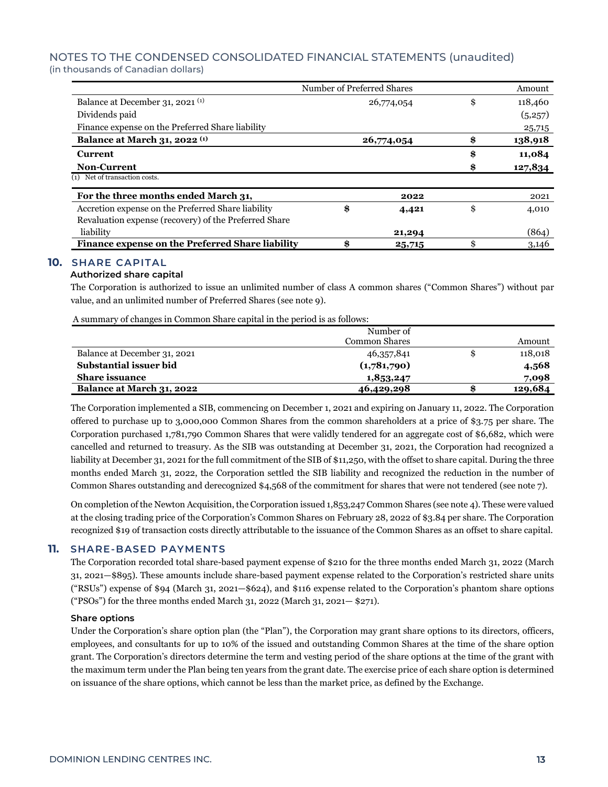|                                                       | Number of Preferred Shares |            | Amount        |
|-------------------------------------------------------|----------------------------|------------|---------------|
| Balance at December 31, 2021 <sup>(1)</sup>           |                            | 26,774,054 | \$<br>118,460 |
| Dividends paid                                        |                            |            | (5,257)       |
| Finance expense on the Preferred Share liability      |                            |            | 25,715        |
| <b>Balance at March 31, 2022</b> (1)                  |                            | 26,774,054 | \$<br>138,918 |
| <b>Current</b>                                        |                            |            | \$<br>11,084  |
| <b>Non-Current</b>                                    |                            |            | \$<br>127,834 |
| (1) Net of transaction costs.                         |                            |            |               |
| For the three months ended March 31,                  |                            | 2022       | 2021          |
| Accretion expense on the Preferred Share liability    | \$                         | 4,421      | \$<br>4,010   |
| Revaluation expense (recovery) of the Preferred Share |                            |            |               |
| liability                                             |                            | 21,294     | (864)         |
| Finance expense on the Preferred Share liability      | \$                         | 25,715     | \$<br>3,146   |

#### **10. SHARE CAPITAL**

#### **Authorized share capital**

The Corporation is authorized to issue an unlimited number of class A common shares ("Common Shares") without par value, and an unlimited number of Preferred Shares (see note 9).

A summary of changes in Common Share capital in the period is as follows:

|                              | Number of            |               |
|------------------------------|----------------------|---------------|
|                              | <b>Common Shares</b> | Amount        |
| Balance at December 31, 2021 | 46,357,841           | \$<br>118,018 |
| Substantial issuer bid       | (1,781,790)          | 4,568         |
| <b>Share issuance</b>        | 1,853,247            | 7,098         |
| Balance at March 31, 2022    | 46,429,298           | 129,684       |

The Corporation implemented a SIB, commencing on December 1, 2021 and expiring on January 11, 2022. The Corporation offered to purchase up to 3,000,000 Common Shares from the common shareholders at a price of \$3.75 per share. The Corporation purchased 1,781,790 Common Shares that were validly tendered for an aggregate cost of \$6,682, which were cancelled and returned to treasury. As the SIB was outstanding at December 31, 2021, the Corporation had recognized a liability at December 31, 2021 for the full commitment of the SIB of \$11,250, with the offset to share capital. During the three months ended March 31, 2022, the Corporation settled the SIB liability and recognized the reduction in the number of Common Shares outstanding and derecognized \$4,568 of the commitment for shares that were not tendered (see note 7).

On completion of the Newton Acquisition, the Corporation issued 1,853,247 Common Shares (see note 4). These were valued at the closing trading price of the Corporation's Common Shares on February 28, 2022 of \$3.84 per share. The Corporation recognized \$19 of transaction costs directly attributable to the issuance of the Common Shares as an offset to share capital.

#### **11. SHARE-BASED PAYMENTS**

The Corporation recorded total share-based payment expense of \$210 for the three months ended March 31, 2022 (March 31, 2021—\$895). These amounts include share-based payment expense related to the Corporation's restricted share units ("RSUs") expense of \$94 (March 31, 2021—\$624), and \$116 expense related to the Corporation's phantom share options ("PSOs") for the three months ended March 31, 2022 (March 31, 2021— \$271).

#### **Share options**

Under the Corporation's share option plan (the "Plan"), the Corporation may grant share options to its directors, officers, employees, and consultants for up to 10% of the issued and outstanding Common Shares at the time of the share option grant. The Corporation's directors determine the term and vesting period of the share options at the time of the grant with the maximum term under the Plan being ten years from the grant date. The exercise price of each share option is determined on issuance of the share options, which cannot be less than the market price, as defined by the Exchange.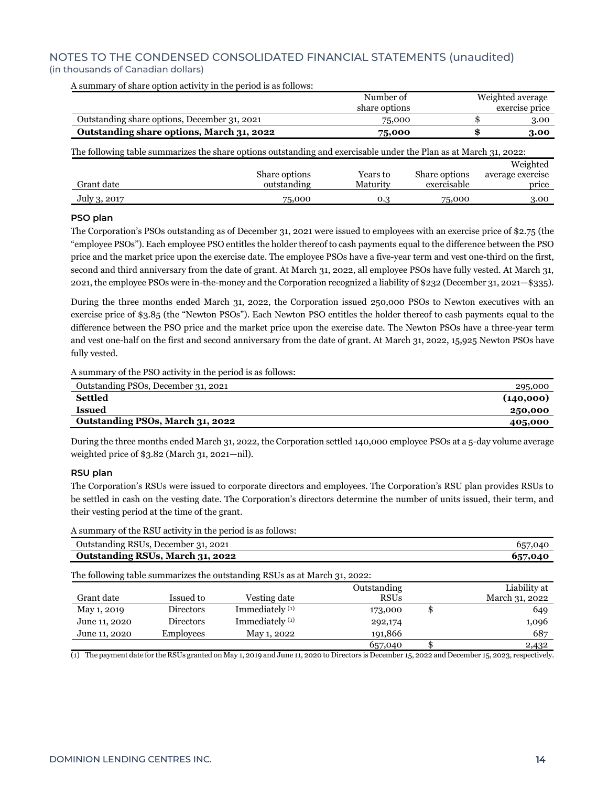|                                                                                                                   |               | Number of     |               | Weighted average |
|-------------------------------------------------------------------------------------------------------------------|---------------|---------------|---------------|------------------|
|                                                                                                                   |               | share options |               | exercise price   |
| Outstanding share options, December 31, 2021                                                                      |               | 75,000        |               | 3.00             |
| Outstanding share options, March 31, 2022                                                                         |               | 75,000        |               | 3.00             |
| The following table summarizes the share options outstanding and exercisable under the Plan as at March 31, 2022: |               |               |               |                  |
|                                                                                                                   |               |               |               | Weighted         |
|                                                                                                                   | Share options | Years to      | Share options | average exercise |
| Grant date                                                                                                        | outstanding   | Maturity      | exercisable   | price            |
| July 3, 2017                                                                                                      | 75,000        | 0.3           | 75,000        | 3.00             |

A summary of share option activity in the period is as follows:

#### **PSO plan**

The Corporation's PSOs outstanding as of December 31, 2021 were issued to employees with an exercise price of \$2.75 (the "employee PSOs"). Each employee PSO entitles the holder thereof to cash payments equal to the difference between the PSO price and the market price upon the exercise date. The employee PSOs have a five-year term and vest one-third on the first, second and third anniversary from the date of grant. At March 31, 2022, all employee PSOs have fully vested. At March 31, 2021, the employee PSOs were in-the-money and the Corporation recognized a liability of \$232 (December 31, 2021—\$335).

During the three months ended March 31, 2022, the Corporation issued 250,000 PSOs to Newton executives with an exercise price of \$3.85 (the "Newton PSOs"). Each Newton PSO entitles the holder thereof to cash payments equal to the difference between the PSO price and the market price upon the exercise date. The Newton PSOs have a three-year term and vest one-half on the first and second anniversary from the date of grant. At March 31, 2022, 15,925 Newton PSOs have fully vested.

A summary of the PSO activity in the period is as follows:

| Outstanding PSOs, December 31, 2021 | 295,000   |
|-------------------------------------|-----------|
| <b>Settled</b>                      | (140,000) |
| <b>Issued</b>                       | 250,000   |
| Outstanding PSOs, March 31, 2022    | 405,000   |
|                                     |           |

During the three months ended March 31, 2022, the Corporation settled 140,000 employee PSOs at a 5-day volume average weighted price of \$3.82 (March 31, 2021—nil).

#### **RSU plan**

The Corporation's RSUs were issued to corporate directors and employees. The Corporation's RSU plan provides RSUs to be settled in cash on the vesting date. The Corporation's directors determine the number of units issued, their term, and their vesting period at the time of the grant.

A summary of the RSU activity in the period is as follows:

| Outstanding RSUs, December 31, 2021 | 657.040 |
|-------------------------------------|---------|
| Outstanding RSUs, March 31, 2022    | 657,040 |
|                                     |         |

The following table summarizes the outstanding RSUs as at March 31, 2022:

|               |                  |                            | Outstanding |    | Liability at   |
|---------------|------------------|----------------------------|-------------|----|----------------|
| Grant date    | Issued to        | Vesting date               | <b>RSUs</b> |    | March 31, 2022 |
| May 1, 2019   | Directors        | Immediately <sup>(1)</sup> | 173,000     | -S | 649            |
| June 11, 2020 | <b>Directors</b> | Immediately <sup>(1)</sup> | 292,174     |    | 1,096          |
| June 11, 2020 | <b>Employees</b> | May 1, 2022                | 191,866     |    | 687            |
|               |                  |                            | 657,040     |    | 2,432          |

(1) The payment date for the RSUs granted on May 1, 2019 and June 11, 2020 to Directors is December 15, 2022 and December 15, 2023, respectively.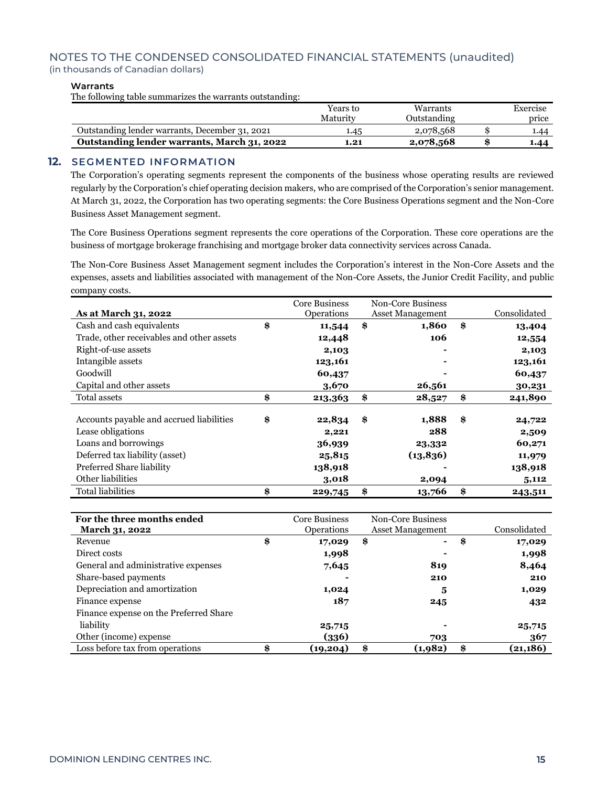#### **Warrants**

The following table summarizes the warrants outstanding:

|                                                | Years to | Warrants    | Exercise |
|------------------------------------------------|----------|-------------|----------|
|                                                | Maturity | Outstanding | price    |
| Outstanding lender warrants, December 31, 2021 | .45      | 2,078,568   | 1.44     |
| Outstanding lender warrants, March 31, 2022    | 1.21     | 2,078,568   | 1.44     |

#### **12. SEGMENTED INFORMATION**

The Corporation's operating segments represent the components of the business whose operating results are reviewed regularly by the Corporation's chief operating decision makers, who are comprised of the Corporation's senior management. At March 31, 2022, the Corporation has two operating segments: the Core Business Operations segment and the Non-Core Business Asset Management segment.

The Core Business Operations segment represents the core operations of the Corporation. These core operations are the business of mortgage brokerage franchising and mortgage broker data connectivity services across Canada.

The Non-Core Business Asset Management segment includes the Corporation's interest in the Non-Core Assets and the expenses, assets and liabilities associated with management of the Non-Core Assets, the Junior Credit Facility, and public company costs.

|                                           | Core Business | Non-Core Business |                         |               |
|-------------------------------------------|---------------|-------------------|-------------------------|---------------|
| As at March 31, 2022                      | Operations    |                   | <b>Asset Management</b> | Consolidated  |
| Cash and cash equivalents                 | \$<br>11,544  | \$                | 1,860                   | \$<br>13,404  |
| Trade, other receivables and other assets | 12,448        |                   | 106                     | 12,554        |
| Right-of-use assets                       | 2,103         |                   |                         | 2,103         |
| Intangible assets                         | 123,161       |                   |                         | 123,161       |
| Goodwill                                  | 60,437        |                   |                         | 60,437        |
| Capital and other assets                  | 3,670         |                   | 26,561                  | 30,231        |
| Total assets                              | \$<br>213,363 | \$                | 28,527                  | \$<br>241,890 |
|                                           |               |                   |                         |               |
| Accounts payable and accrued liabilities  | \$<br>22,834  | \$                | 1,888                   | \$<br>24,722  |
| Lease obligations                         | 2,221         |                   | 288                     | 2,509         |
| Loans and borrowings                      | 36,939        |                   | 23,332                  | 60,271        |
| Deferred tax liability (asset)            | 25,815        |                   | (13, 836)               | 11,979        |
| Preferred Share liability                 | 138,918       |                   |                         | 138,918       |
| Other liabilities                         | 3,018         |                   | 2,094                   | 5,112         |
| <b>Total liabilities</b>                  | \$<br>229,745 | \$                | 13,766                  | \$<br>243,511 |

| For the three months ended             | <b>Core Business</b> | Non-Core Business       | Consolidated   |
|----------------------------------------|----------------------|-------------------------|----------------|
| <b>March 31, 2022</b>                  | <b>Operations</b>    | <b>Asset Management</b> |                |
| Revenue                                | \$<br>17,029         | \$<br>۰                 | \$<br>17,029   |
| Direct costs                           | 1,998                |                         | 1,998          |
| General and administrative expenses    | 7,645                | 819                     | 8,464          |
| Share-based payments                   |                      | 210                     | 210            |
| Depreciation and amortization          | 1,024                | 5                       | 1,029          |
| Finance expense                        | 187                  | 245                     | 432            |
| Finance expense on the Preferred Share |                      |                         |                |
| liability                              | 25,715               |                         | 25,715         |
| Other (income) expense                 | (336)                | 703                     | 367            |
| Loss before tax from operations        | \$<br>(19, 204)      | \$<br>(1,982)           | \$<br>(21,186) |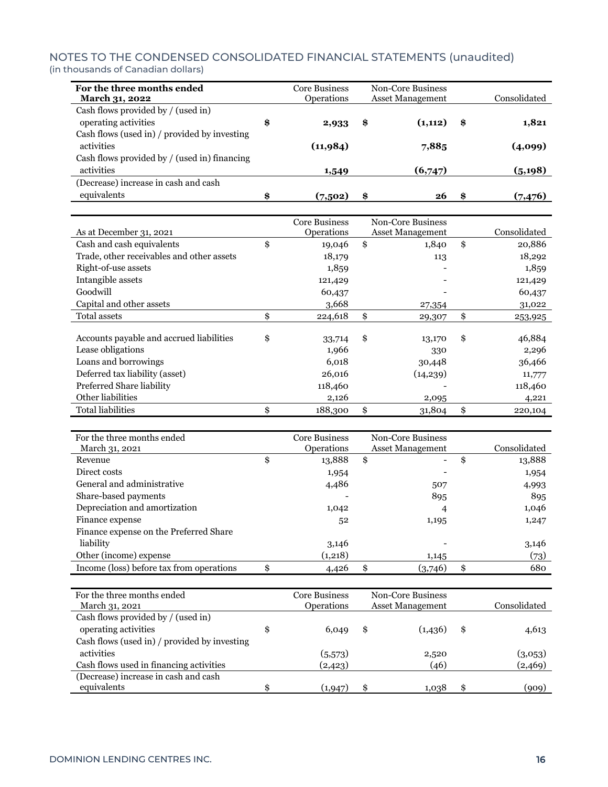| For the three months ended<br>March 31, 2022 | Core Business<br><b>Operations</b> | Non-Core Business<br><b>Asset Management</b> |         |     | Consolidated |
|----------------------------------------------|------------------------------------|----------------------------------------------|---------|-----|--------------|
| Cash flows provided by / (used in)           |                                    |                                              |         |     |              |
| operating activities                         | \$<br>2,933                        | \$                                           | (1,112) | \$  | 1,821        |
| Cash flows (used in) / provided by investing |                                    |                                              |         |     |              |
| activities                                   | (11,984)                           |                                              | 7,885   |     | (4,099)      |
| Cash flows provided by / (used in) financing |                                    |                                              |         |     |              |
| activities                                   | 1,549                              |                                              | (6,747) |     | (5, 198)     |
| (Decrease) increase in cash and cash         |                                    |                                              |         |     |              |
| equivalents                                  | \$<br>(7,502)                      | \$                                           | 26      | -96 | (7, 476)     |

|                                           | <b>Core Business</b> | <b>Non-Core Business</b> |               |
|-------------------------------------------|----------------------|--------------------------|---------------|
| As at December 31, 2021                   | Operations           | <b>Asset Management</b>  | Consolidated  |
| Cash and cash equivalents                 | \$<br>19,046         | \$<br>1,840              | \$<br>20,886  |
| Trade, other receivables and other assets | 18,179               | 113                      | 18,292        |
| Right-of-use assets                       | 1,859                |                          | 1,859         |
| Intangible assets                         | 121,429              |                          | 121,429       |
| Goodwill                                  | 60,437               |                          | 60,437        |
| Capital and other assets                  | 3,668                | 27,354                   | 31,022        |
| Total assets                              | \$<br>224,618        | \$<br>29,307             | \$<br>253,925 |
|                                           |                      |                          |               |
| Accounts payable and accrued liabilities  | \$<br>33,714         | \$<br>13,170             | \$<br>46,884  |
| Lease obligations                         | 1,966                | 330                      | 2,296         |
| Loans and borrowings                      | 6,018                | 30,448                   | 36,466        |
| Deferred tax liability (asset)            | 26,016               | (14, 239)                | 11,777        |
| Preferred Share liability                 | 118,460              |                          | 118,460       |
| Other liabilities                         | 2,126                | 2,095                    | 4,221         |
| <b>Total liabilities</b>                  | \$<br>188,300        | \$<br>31,804             | \$<br>220,104 |

| For the three months ended<br>March 31, 2021 | <b>Core Business</b><br><b>Operations</b> | Non-Core Business<br><b>Asset Management</b> | Consolidated |
|----------------------------------------------|-------------------------------------------|----------------------------------------------|--------------|
| Revenue                                      | \$<br>13,888                              | \$<br>-                                      | \$<br>13,888 |
| Direct costs                                 | 1,954                                     |                                              | 1,954        |
| General and administrative                   | 4,486                                     | 507                                          | 4,993        |
| Share-based payments                         |                                           | 895                                          | 895          |
| Depreciation and amortization                | 1,042                                     | 4                                            | 1,046        |
| Finance expense                              | 52                                        | 1,195                                        | 1,247        |
| Finance expense on the Preferred Share       |                                           |                                              |              |
| liability                                    | 3,146                                     |                                              | 3,146        |
| Other (income) expense                       | (1,218)                                   | 1,145                                        | (73)         |
| Income (loss) before tax from operations     | \$<br>4,426                               | \$<br>(3,746)                                | \$<br>680    |

| For the three months ended<br>March 31, 2021 |    | Core Business<br>Operations | Non-Core Business<br><b>Asset Management</b> |          |    | Consolidated |
|----------------------------------------------|----|-----------------------------|----------------------------------------------|----------|----|--------------|
| Cash flows provided by / (used in)           |    |                             |                                              |          |    |              |
| operating activities                         | \$ | 6,049                       | \$                                           | (1,4,36) | \$ | 4,613        |
| Cash flows (used in) / provided by investing |    |                             |                                              |          |    |              |
| activities                                   |    | (5,573)                     |                                              | 2,520    |    | (3,053)      |
| Cash flows used in financing activities      |    | (2, 423)                    |                                              | (46)     |    | (2,469)      |
| (Decrease) increase in cash and cash         |    |                             |                                              |          |    |              |
| equivalents                                  | Φ  | (1,947)                     |                                              | 1,038    |    | (909)        |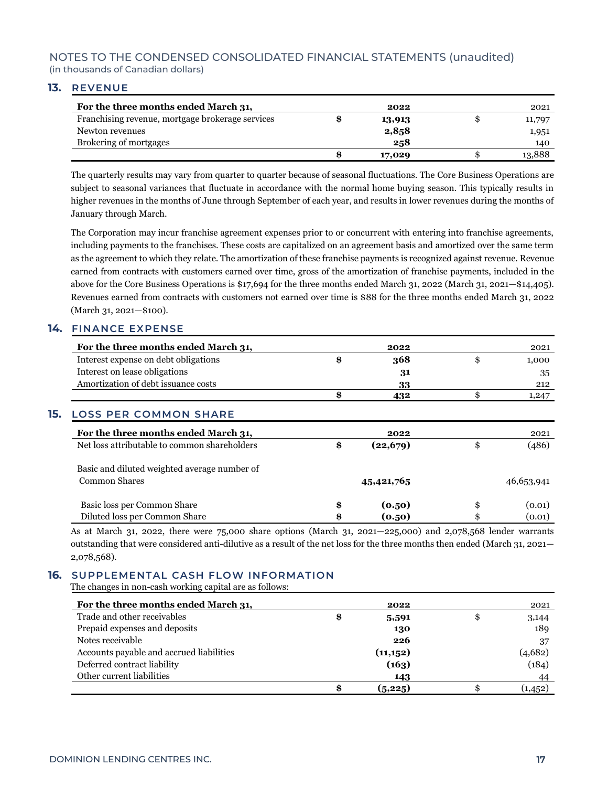#### **13. REVENUE**

| For the three months ended March 31,             | 2022   | 2021   |
|--------------------------------------------------|--------|--------|
| Franchising revenue, mortgage brokerage services | 13,913 | 11,797 |
| Newton revenues                                  | 2,858  | 1,951  |
| Brokering of mortgages                           | 258    | 140    |
|                                                  | 17,029 | 13,888 |

The quarterly results may vary from quarter to quarter because of seasonal fluctuations. The Core Business Operations are subject to seasonal variances that fluctuate in accordance with the normal home buying season. This typically results in higher revenues in the months of June through September of each year, and results in lower revenues during the months of January through March.

The Corporation may incur franchise agreement expenses prior to or concurrent with entering into franchise agreements, including payments to the franchises. These costs are capitalized on an agreement basis and amortized over the same term as the agreement to which they relate. The amortization of these franchise payments is recognized against revenue. Revenue earned from contracts with customers earned over time, gross of the amortization of franchise payments, included in the above for the Core Business Operations is \$17,694 for the three months ended March 31, 2022 (March 31, 2021—\$14,405). Revenues earned from contracts with customers not earned over time is \$88 for the three months ended March 31, 2022 (March 31, 2021—\$100).

#### **14. FINANCE EXPENSE**

| For the three months ended March 31,         | 2022            | 2021         |
|----------------------------------------------|-----------------|--------------|
| Interest expense on debt obligations         | \$<br>368       | \$<br>1,000  |
| Interest on lease obligations                | 31              | 35           |
| Amortization of debt issuance costs          | 33              | 212          |
|                                              | \$<br>432       | \$<br>1,247  |
| 15.<br><b>LOSS PER COMMON SHARE</b>          |                 |              |
| For the three months ended March 31,         | 2022            | 2021         |
| Net loss attributable to common shareholders | \$<br>(22, 679) | \$<br>(486)  |
| Basic and diluted weighted average number of |                 |              |
| Common Shares                                | 45,421,765      | 46,653,941   |
| Basic loss per Common Share                  | \$<br>(0.50)    | \$<br>(0.01) |
| Diluted loss per Common Share                | \$<br>(0.50)    | (0.01)       |

As at March 31, 2022, there were 75,000 share options (March 31, 2021—225,000) and 2,078,568 lender warrants outstanding that were considered anti-dilutive as a result of the net loss for the three months then ended (March 31, 2021— 2,078,568).

# **16. SUPPLEMENTAL CASH FLOW INFORMATION**

The changes in non-cash working capital are as follows:

| For the three months ended March 31,     | 2022        | 2021     |
|------------------------------------------|-------------|----------|
| Trade and other receivables              | \$<br>5,591 | 3,144    |
| Prepaid expenses and deposits            | 130         | 189      |
| Notes receivable                         | 226         | 37       |
| Accounts payable and accrued liabilities | (11, 152)   | (4,682)  |
| Deferred contract liability              | (163)       | (184)    |
| Other current liabilities                | 143         | 44       |
|                                          | (5,225)     | (1, 452) |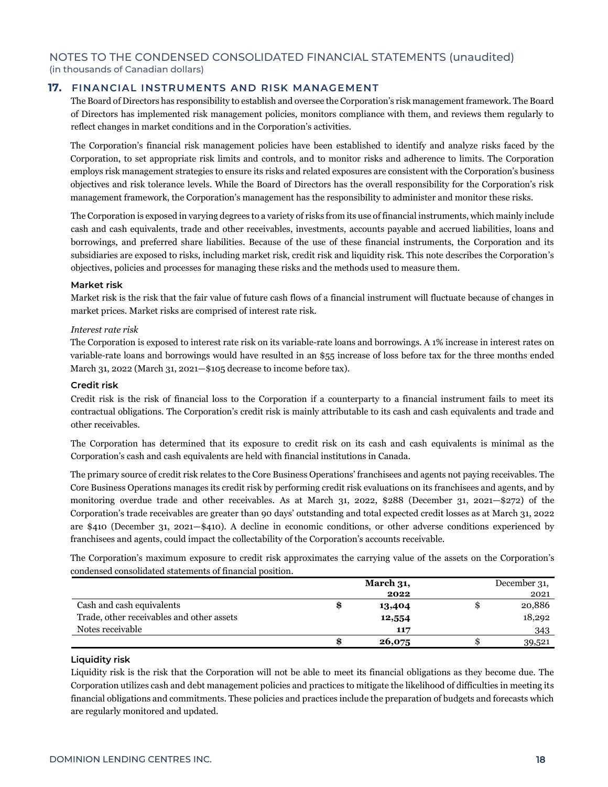#### **17. FINANCIAL INSTRUMENTS AND RISK MANAGEMENT**

The Board of Directors has responsibility to establish and oversee the Corporation's risk management framework. The Board of Directors has implemented risk management policies, monitors compliance with them, and reviews them regularly to reflect changes in market conditions and in the Corporation's activities.

The Corporation's financial risk management policies have been established to identify and analyze risks faced by the Corporation, to set appropriate risk limits and controls, and to monitor risks and adherence to limits. The Corporation employs risk management strategies to ensure its risks and related exposures are consistent with the Corporation's business objectives and risk tolerance levels. While the Board of Directors has the overall responsibility for the Corporation's risk management framework, the Corporation's management has the responsibility to administer and monitor these risks.

The Corporation is exposed in varying degrees to a variety of risks from its use of financial instruments, which mainly include cash and cash equivalents, trade and other receivables, investments, accounts payable and accrued liabilities, loans and borrowings, and preferred share liabilities. Because of the use of these financial instruments, the Corporation and its subsidiaries are exposed to risks, including market risk, credit risk and liquidity risk. This note describes the Corporation's objectives, policies and processes for managing these risks and the methods used to measure them.

#### **Market risk**

Market risk is the risk that the fair value of future cash flows of a financial instrument will fluctuate because of changes in market prices. Market risks are comprised of interest rate risk.

#### *Interest rate risk*

The Corporation is exposed to interest rate risk on its variable-rate loans and borrowings. A 1% increase in interest rates on variable-rate loans and borrowings would have resulted in an \$55 increase of loss before tax for the three months ended March 31, 2022 (March 31, 2021—\$105 decrease to income before tax).

#### **Credit risk**

Credit risk is the risk of financial loss to the Corporation if a counterparty to a financial instrument fails to meet its contractual obligations. The Corporation's credit risk is mainly attributable to its cash and cash equivalents and trade and other receivables.

The Corporation has determined that its exposure to credit risk on its cash and cash equivalents is minimal as the Corporation's cash and cash equivalents are held with financial institutions in Canada.

The primary source of credit risk relates to the Core Business Operations' franchisees and agents not paying receivables. The Core Business Operations manages its credit risk by performing credit risk evaluations on its franchisees and agents, and by monitoring overdue trade and other receivables. As at March 31, 2022, \$288 (December 31, 2021—\$272) of the Corporation's trade receivables are greater than 90 days' outstanding and total expected credit losses as at March 31, 2022 are \$410 (December 31, 2021—\$410). A decline in economic conditions, or other adverse conditions experienced by franchisees and agents, could impact the collectability of the Corporation's accounts receivable.

The Corporation's maximum exposure to credit risk approximates the carrying value of the assets on the Corporation's condensed consolidated statements of financial position.

|                                           | March $31$ , | December 31, |
|-------------------------------------------|--------------|--------------|
|                                           | 2022         | 2021         |
| Cash and cash equivalents                 | 13,404       | 20,886       |
| Trade, other receivables and other assets | 12,554       | 18,292       |
| Notes receivable                          | 117          | 343          |
|                                           | 26,075       | 39,521       |

#### **Liquidity risk**

Liquidity risk is the risk that the Corporation will not be able to meet its financial obligations as they become due. The Corporation utilizes cash and debt management policies and practices to mitigate the likelihood of difficulties in meeting its financial obligations and commitments. These policies and practices include the preparation of budgets and forecasts which are regularly monitored and updated.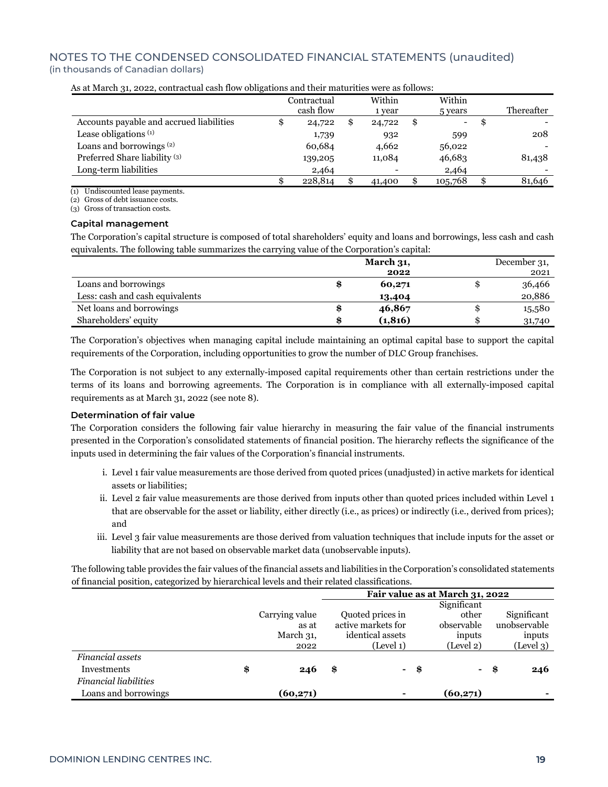|                                          | Contractual  | Within                   |    | Within  |    |            |
|------------------------------------------|--------------|--------------------------|----|---------|----|------------|
|                                          | cash flow    | 1 year                   |    | 5 years |    | Thereafter |
| Accounts payable and accrued liabilities | \$<br>24,722 | 24,722                   | £. | -       | Ð  |            |
| Lease obligations $(1)$                  | 1,739        | 932                      |    | 599     |    | 208        |
| Loans and borrowings <sup>(2)</sup>      | 60,684       | 4,662                    |    | 56,022  |    |            |
| Preferred Share liability <sup>(3)</sup> | 139,205      | 11,084                   |    | 46,683  |    | 81,438     |
| Long-term liabilities                    | 2,464        | $\overline{\phantom{0}}$ |    | 2,464   |    |            |
|                                          | 228,814      | 41,400                   |    | 105,768 | \$ | 81,646     |

As at March 31, 2022, contractual cash flow obligations and their maturities were as follows:

(1) Undiscounted lease payments.

(2) Gross of debt issuance costs.

(3) Gross of transaction costs.

#### **Capital management**

The Corporation's capital structure is composed of total shareholders' equity and loans and borrowings, less cash and cash equivalents. The following table summarizes the carrying value of the Corporation's capital:

|                                 | <b>March 31,</b> | December 31, |
|---------------------------------|------------------|--------------|
|                                 | 2022             | 2021         |
| Loans and borrowings            | \$<br>60,271     | 36,466       |
| Less: cash and cash equivalents | 13,404           | 20,886       |
| Net loans and borrowings        | \$<br>46,867     | 15,580       |
| Shareholders' equity            | \$<br>(1, 816)   | 31,740       |

The Corporation's objectives when managing capital include maintaining an optimal capital base to support the capital requirements of the Corporation, including opportunities to grow the number of DLC Group franchises.

The Corporation is not subject to any externally-imposed capital requirements other than certain restrictions under the terms of its loans and borrowing agreements. The Corporation is in compliance with all externally-imposed capital requirements as at March 31, 2022 (see note 8).

#### **Determination of fair value**

The Corporation considers the following fair value hierarchy in measuring the fair value of the financial instruments presented in the Corporation's consolidated statements of financial position. The hierarchy reflects the significance of the inputs used in determining the fair values of the Corporation's financial instruments.

- i. Level 1 fair value measurements are those derived from quoted prices (unadjusted) in active markets for identical assets or liabilities;
- ii. Level 2 fair value measurements are those derived from inputs other than quoted prices included within Level 1 that are observable for the asset or liability, either directly (i.e., as prices) or indirectly (i.e., derived from prices); and
- iii. Level 3 fair value measurements are those derived from valuation techniques that include inputs for the asset or liability that are not based on observable market data (unobservable inputs).

The following table provides the fair values of the financial assets and liabilities in the Corporation's consolidated statements of financial position, categorized by hierarchical levels and their related classifications.

|                              |                | Fair value as at March 31, 2022 |      |             |      |              |  |
|------------------------------|----------------|---------------------------------|------|-------------|------|--------------|--|
|                              |                |                                 |      | Significant |      |              |  |
|                              | Carrying value | Quoted prices in                |      | other       |      | Significant  |  |
|                              | as at          | active markets for              |      | observable  |      | unobservable |  |
|                              | March 31,      | identical assets                |      | inputs      |      | inputs       |  |
|                              | 2022           | (Level 1)                       |      | (Level 2)   |      | (Level 3)    |  |
| <b>Financial assets</b>      |                |                                 |      |             |      |              |  |
| Investments                  | \$<br>246      | \$<br>۰                         | - \$ |             | - \$ | 246          |  |
| <b>Financial liabilities</b> |                |                                 |      |             |      |              |  |
| Loans and borrowings         | (60,271)       | $\blacksquare$                  |      | (60,271)    |      |              |  |